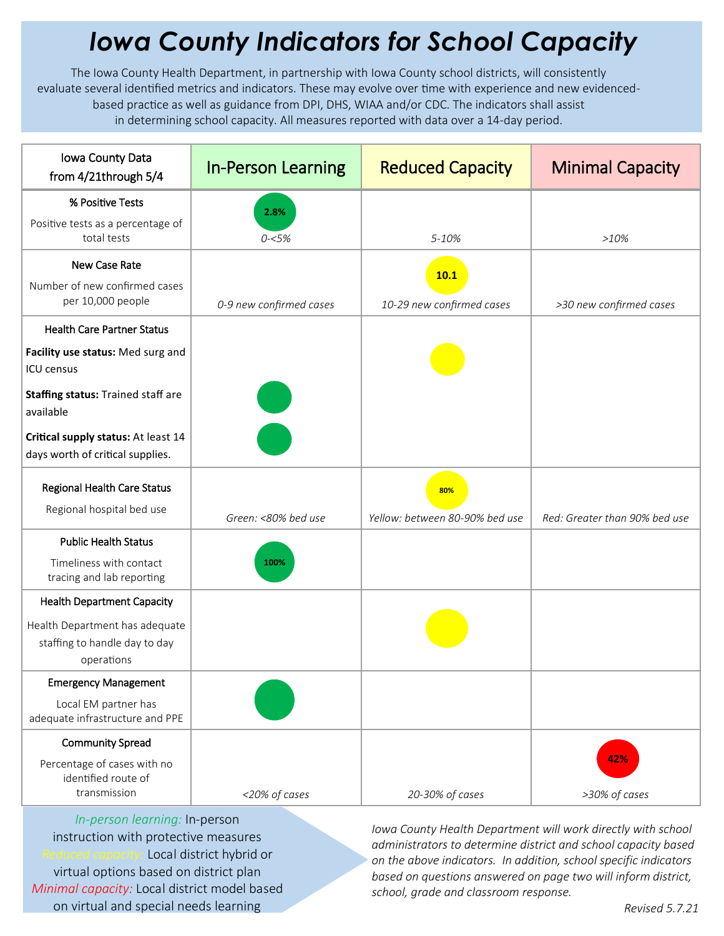## *Iowa County Indicators for School Capacity*

The Iowa County Health Department, in partnership with Iowa County school districts, will consistently evaluate several identified metrics and indicators. These may evolve over time with experience and new evidencedbased practice as well as guidance from DPI, DHS, WIAA and/or CDC. The indicators shall assist in determining school capacity. All measures reported with data over a 14-day period.

| Iowa County Data<br>from 4/21through 5/4                                      | <b>In-Person Learning</b> | <b>Reduced Capacity</b>               | <b>Minimal Capacity</b>       |
|-------------------------------------------------------------------------------|---------------------------|---------------------------------------|-------------------------------|
| % Positive Tests                                                              | 2.8%                      |                                       |                               |
| Positive tests as a percentage of<br>total tests                              | $0 - 5%$                  | 5-10%                                 | >10%                          |
| New Case Rate                                                                 |                           | 10.1                                  |                               |
| Number of new confirmed cases<br>per 10,000 people                            | 0-9 new confirmed cases   | 10-29 new confirmed cases             | >30 new confirmed cases       |
| <b>Health Care Partner Status</b>                                             |                           |                                       |                               |
| Facility use status: Med surg and<br><b>ICU</b> census                        |                           |                                       |                               |
| <b>Staffing status: Trained staff are</b><br>available                        |                           |                                       |                               |
| Critical supply status: At least 14<br>days worth of critical supplies.       |                           |                                       |                               |
| Regional Health Care Status<br>Regional hospital bed use                      | Green: <80% bed use       | 80%<br>Yellow: between 80-90% bed use | Red: Greater than 90% bed use |
| <b>Public Health Status</b>                                                   |                           |                                       |                               |
| Timeliness with contact<br>tracing and lab reporting                          | 100%                      |                                       |                               |
| <b>Health Department Capacity</b>                                             |                           |                                       |                               |
| Health Department has adequate<br>staffing to handle day to day<br>operations |                           |                                       |                               |
| <b>Emergency Management</b>                                                   |                           |                                       |                               |
| Local EM partner has<br>adequate infrastructure and PPE                       |                           |                                       |                               |
| <b>Community Spread</b>                                                       |                           |                                       |                               |
| Percentage of cases with no<br>identified route of<br>transmission            | <20% of cases             | 20-30% of cases                       | 42%<br>>30% of cases          |

*In-person learning:* In-person instruction with protective measures *Reduced capacity:* Local district hybrid or virtual options based on district plan *Minimal capacity:* Local district model based on virtual and special needs learning

*Iowa County Health Department will work directly with school administrators to determine district and school capacity based on the above indicators. In addition, school specific indicators based on questions answered on page two will inform district, school, grade and classroom response.*